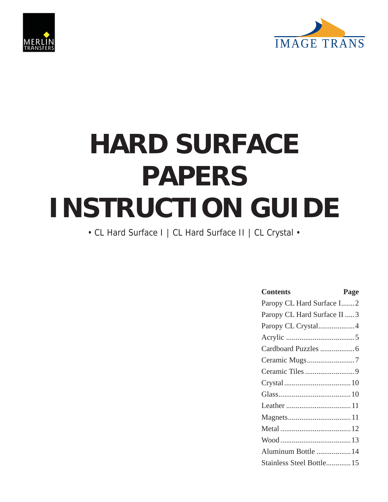



# **HARD SURFACE PAPERS INSTRUCTION GUIDE**

• CL Hard Surface I | CL Hard Surface II | CL Crystal •

| <b>Contents</b><br>Page     |
|-----------------------------|
| Paropy CL Hard Surface I2   |
| Paropy CL Hard Surface II 3 |
| Paropy CL Crystal4          |
|                             |
|                             |
|                             |
|                             |
|                             |
|                             |
|                             |
|                             |
|                             |
|                             |
| Aluminum Bottle  14         |
| Stainless Steel Bottle 15   |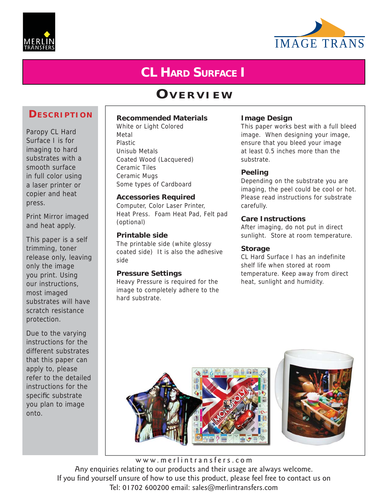



# **CL HARD SURFACE I**

# **OVERVIEW**

### **DESCRIPTION**

Paropy CL Hard Surface I is for imaging to hard substrates with a smooth surface in full color using a laser printer or copier and heat press.

Print Mirror imaged and heat apply.

This paper is a self trimming, toner release only, leaving only the image you print. Using our instructions, most imaged substrates will have scratch resistance protection.

Due to the varying instructions for the different substrates that this paper can apply to, please refer to the detailed instructions for the specific substrate you plan to image onto.

**Recommended Materials**

White or Light Colored Metal Plastic Unisub Metals Coated Wood (Lacquered) Ceramic Tiles Ceramic Mugs Some types of Cardboard

#### **Accessories Required**

Computer, Color Laser Printer, Heat Press. Foam Heat Pad, Felt pad (optional)

#### **Printable side**

The printable side (white glossy coated side) It is also the adhesive side

#### **Pressure Settings**

Heavy Pressure is required for the image to completely adhere to the hard substrate.

#### **Image Design**

This paper works best with a full bleed image. When designing your image, ensure that you bleed your image at least 0.5 inches more than the substrate.

#### **Peeling**

Depending on the substrate you are imaging, the peel could be cool or hot. Please read instructions for substrate carefully.

#### **Care Instructions**

After imaging, do not put in direct sunlight. Store at room temperature.

#### **Storage**

CL Hard Surface I has an indefinite shelf life when stored at room temperature. Keep away from direct heat, sunlight and humidity.

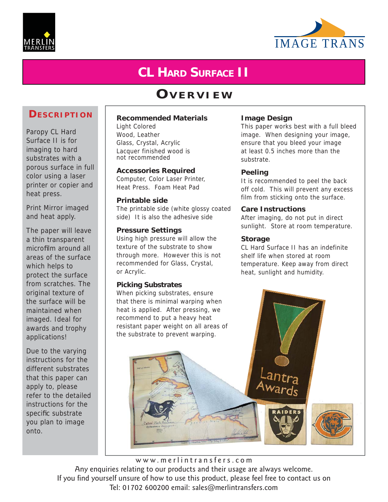



# **CL HARD SURFACE II**

# **OVERVIEW**

### **DESCRIPTION**

Paropy CL Hard Surface II is for imaging to hard substrates with a porous surface in full color using a laser printer or copier and heat press.

Print Mirror imaged and heat apply.

The paper will leave a thin transparent microfilm around all areas of the surface which helps to protect the surface from scratches. The original texture of the surface will be maintained when imaged. Ideal for awards and trophy applications!

Due to the varying instructions for the different substrates that this paper can apply to, please refer to the detailed instructions for the specific substrate you plan to image onto.

#### **Recommended Materials**

Light Colored Wood, Leather Glass, Crystal, Acrylic Lacquer finished wood is not recommended

**Accessories Required** Computer, Color Laser Printer, Heat Press. Foam Heat Pad

#### **Printable side**

The printable side (white glossy coated side) It is also the adhesive side

#### **Pressure Settings**

Using high pressure will allow the texture of the substrate to show through more. However this is not recommended for Glass, Crystal, or Acrylic.

#### **Picking Substrates**

When picking substrates, ensure that there is minimal warping when heat is applied. After pressing, we recommend to put a heavy heat resistant paper weight on all areas of the substrate to prevent warping.

#### **Image Design**

This paper works best with a full bleed image. When designing your image, ensure that you bleed your image at least 0.5 inches more than the substrate.

#### **Peeling**

It is recommended to peel the back off cold. This will prevent any excess film from sticking onto the surface.

#### **Care Instructions**

After imaging, do not put in direct sunlight. Store at room temperature.

#### **Storage**

CL Hard Surface II has an indefinite shelf life when stored at room temperature. Keep away from direct heat, sunlight and humidity.



Tel: 01702 600200 email: sales@merlintransfers.com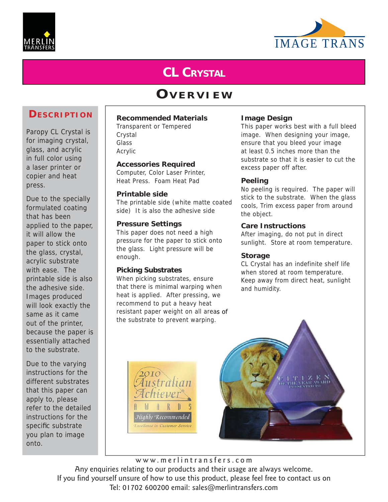



# **CL CRYSTAL**

# **OVERVIEW**

### **DESCRIPTION**

Paropy CL Crystal is for imaging crystal, glass, and acrylic in full color using a laser printer or copier and heat press.

Due to the specially formulated coating that has been applied to the paper, it will allow the paper to stick onto the glass, crystal, acrylic substrate with ease. The printable side is also the adhesive side. Images produced will look exactly the same as it came out of the printer, because the paper is essentially attached to the substrate.

Due to the varying instructions for the different substrates that this paper can apply to, please refer to the detailed instructions for the specific substrate you plan to image onto.

#### **Recommended Materials**

Transparent or Tempered Crystal Glass Acrylic

#### **Accessories Required**

Computer, Color Laser Printer, Heat Press. Foam Heat Pad

#### **Printable side**

The printable side (white matte coated side) It is also the adhesive side

#### **Pressure Settings**

This paper does not need a high pressure for the paper to stick onto the glass. Light pressure will be enough.

#### **Picking Substrates**

When picking substrates, ensure that there is minimal warping when heat is applied. After pressing, we recommend to put a heavy heat resistant paper weight on all areas of the substrate to prevent warping.

#### **Image Design**

This paper works best with a full bleed image. When designing your image, ensure that you bleed your image at least 0.5 inches more than the substrate so that it is easier to cut the excess paper off after.

#### **Peeling**

No peeling is required. The paper will stick to the substrate. When the glass cools, Trim excess paper from around the object.

#### **Care Instructions**

After imaging, do not put in direct sunlight. Store at room temperature.

#### **Storage**

CL Crystal has an indefinite shelf life when stored at room temperature. Keep away from direct heat, sunlight and humidity.



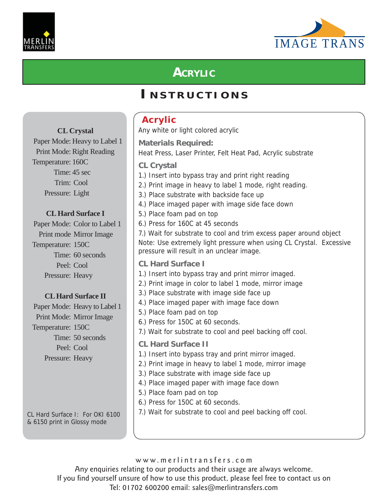



# **ACRYLIC**

# **I NSTRUCTIONS**

|                                                                | <b>Acrylic</b>                                                                                                   |
|----------------------------------------------------------------|------------------------------------------------------------------------------------------------------------------|
| <b>CL Crystal</b>                                              | Any white or light colored acrylic                                                                               |
| Paper Mode: Heavy to Label 1                                   | <b>Materials Required:</b>                                                                                       |
| Print Mode: Right Reading                                      | Heat Press, Laser Printer, Felt Heat Pad, Acrylic substrate                                                      |
| Temperature: 160C                                              | <b>CL Crystal</b>                                                                                                |
| Time: 45 sec                                                   | 1.) Insert into bypass tray and print right reading                                                              |
| Trim: Cool                                                     | 2.) Print image in heavy to label 1 mode, right reading.                                                         |
| Pressure: Light                                                | 3.) Place substrate with backside face up                                                                        |
|                                                                | 4.) Place imaged paper with image side face down                                                                 |
| <b>CL Hard Surface I</b>                                       | 5.) Place foam pad on top                                                                                        |
| Paper Mode: Color to Label 1                                   | 6.) Press for 160C at 45 seconds                                                                                 |
| Print mode Mirror Image                                        | 7.) Wait for substrate to cool and trim excess paper around object                                               |
| Temperature: 150C                                              | Note: Use extremely light pressure when using CL Crystal. Excessive<br>pressure will result in an unclear image. |
| Time: 60 seconds                                               | <b>CL Hard Surface I</b>                                                                                         |
| Peel: Cool                                                     | 1.) Insert into bypass tray and print mirror imaged.                                                             |
| Pressure: Heavy                                                | 2.) Print image in color to label 1 mode, mirror image                                                           |
| <b>CL Hard Surface II</b>                                      | 3.) Place substrate with image side face up                                                                      |
| Paper Mode: Heavy to Label 1                                   | 4.) Place imaged paper with image face down                                                                      |
| Print Mode: Mirror Image                                       | 5.) Place foam pad on top                                                                                        |
| Temperature: 150C                                              | 6.) Press for 150C at 60 seconds.                                                                                |
| Time: 50 seconds                                               | 7.) Wait for substrate to cool and peel backing off cool.                                                        |
| Peel: Cool                                                     | <b>CL Hard Surface II</b>                                                                                        |
| Pressure: Heavy                                                | 1.) Insert into bypass tray and print mirror imaged.                                                             |
|                                                                | 2.) Print image in heavy to label 1 mode, mirror image                                                           |
|                                                                | 3.) Place substrate with image side face up                                                                      |
|                                                                | 4.) Place imaged paper with image face down                                                                      |
|                                                                | 5.) Place foam pad on top<br>6.) Press for 150C at 60 seconds.                                                   |
|                                                                | 7.) Wait for substrate to cool and peel backing off cool.                                                        |
| CL Hard Surface I: For OKI 6100<br>& 6150 print in Glossy mode |                                                                                                                  |

www.merlintransfers.com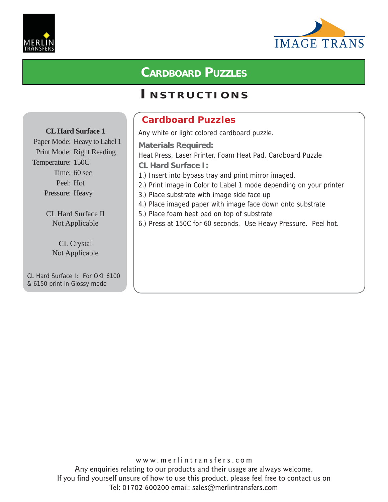



### **CARDBOARD PUZZLES**

### **I NSTRUCTIONS**

### **Cardboard Puzzles**

Paper Mode: Heavy to Label 1 Print Mode: Right Reading Temperature: 150C Time: 60 sec Peel: Hot Pressure: Heavy

**CL Hard Surface 1**

CL Hard Surface II Not Applicable

> CL Crystal Not Applicable

CL Hard Surface I: For OKI 6100 & 6150 print in Glossy mode

Any white or light colored cardboard puzzle.

**Materials Required:**

Heat Press, Laser Printer, Foam Heat Pad, Cardboard Puzzle

**CL Hard Surface I:**

- 1.) Insert into bypass tray and print mirror imaged.
- 2.) Print image in Color to Label 1 mode depending on your printer
- 3.) Place substrate with image side face up
- 4.) Place imaged paper with image face down onto substrate
- 5.) Place foam heat pad on top of substrate
- 6.) Press at 150C for 60 seconds. Use Heavy Pressure. Peel hot.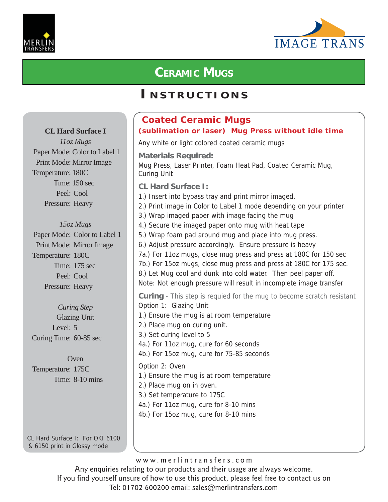



# **CERAMIC MUGS**

### **I NSTRUCTIONS**

### **Coated Ceramic Mugs (sublimation or laser) Mug Press without idle time**

Any white or light colored coated ceramic mugs

**Materials Required:** Mug Press, Laser Printer, Foam Heat Pad, Coated Ceramic Mug, Curing Unit

**CL Hard Surface I:**

- 1.) Insert into bypass tray and print mirror imaged.
- 2.) Print image in Color to Label 1 mode depending on your printer
- 3.) Wrap imaged paper with image facing the mug
- 4.) Secure the imaged paper onto mug with heat tape
- 5.) Wrap foam pad around mug and place into mug press.
- 6.) Adjust pressure accordingly. Ensure pressure is heavy
- 7a.) For 11oz mugs, close mug press and press at 180C for 150 sec
- 7b.) For 15oz mugs, close mug press and press at 180C for 175 sec.

8.) Let Mug cool and dunk into cold water. Then peel paper off. Note: Not enough pressure will result in incomplete image transfer

**Curing** - This step is requied for the mug to become scratch resistant Option 1: Glazing Unit 1.) Ensure the mug is at room temperature 2.) Place mug on curing unit. 3.) Set curing level to 5 4a.) For 11oz mug, cure for 60 seconds 4b.) For 15oz mug, cure for 75-85 seconds Option 2: Oven 1.) Ensure the mug is at room temperature 2.) Place mug on in oven. 3.) Set temperature to 175C 4a.) For 11oz mug, cure for 8-10 mins 4b.) For 15oz mug, cure for 8-10 mins

**CL Hard Surface I**

*11oz Mugs* Paper Mode: Color to Label 1 Print Mode: Mirror Image Temperature: 180C Time: 150 sec Peel: Cool Pressure: Heavy

*15oz Mugs*

Paper Mode: Color to Label 1 Print Mode: Mirror Image Temperature: 180C Time: 175 sec Peel: Cool Pressure: Heavy

*Curing Step* Glazing Unit Level: 5 Curing Time: 60-85 sec

**Oven** Temperature: 175C Time: 8-10 mins

CL Hard Surface I: For OKI 6100 & 6150 print in Glossy mode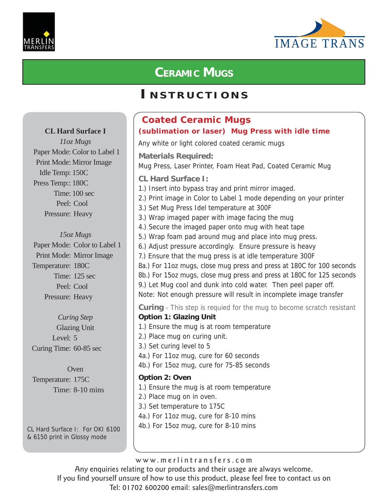



# **CERAMIC MUGS**

### **I NSTRUCTIONS**

### **Coated Ceramic Mugs (sublimation or laser) Mug Press with idle time**

Any white or light colored coated ceramic mugs

**Materials Required:** Mug Press, Laser Printer, Foam Heat Pad, Coated Ceramic Mug

**CL Hard Surface I:**

- 1.) Insert into bypass tray and print mirror imaged.
- 2.) Print image in Color to Label 1 mode depending on your printer
- 3.) Set Mug Press Idel temperature at 300F
- 3.) Wrap imaged paper with image facing the mug
- 4.) Secure the imaged paper onto mug with heat tape
- 5.) Wrap foam pad around mug and place into mug press.
- 6.) Adjust pressure accordingly. Ensure pressure is heavy
- 7.) Ensure that the mug press is at idle temperature 300F
- 8a.) For 11oz mugs, close mug press and press at 180C for 100 seconds 8b.) For 15oz mugs, close mug press and press at 180C for 125 seconds
- 9.) Let Mug cool and dunk into cold water. Then peel paper off.
- Note: Not enough pressure will result in incomplete image transfer

**Curing** - This step is requied for the mug to become scratch resistant **Option 1: Glazing Unit**

- 1.) Ensure the mug is at room temperature 2.) Place mug on curing unit. 3.) Set curing level to 5 4a.) For 11oz mug, cure for 60 seconds 4b.) For 15oz mug, cure for 75-85 seconds **Option 2: Oven** 1.) Ensure the mug is at room temperature 2.) Place mug on in oven. 3.) Set temperature to 175C
- 4a.) For 11oz mug, cure for 8-10 mins
- 4b.) For 15oz mug, cure for 8-10 mins

www.merlintransfers.com

Any enquiries relating to our products and their usage are always welcome. If you find yourself unsure of how to use this product, please feel free to contact us on Tel: 01702 600200 email: sales@merlintransfers.com

### **CL Hard Surface I**

*11oz Mugs* Paper Mode: Color to Label 1 Print Mode: Mirror Image Idle Temp: 150C Press Temp:: 180C Time: 100 sec Peel: Cool Pressure: Heavy

### *15oz Mugs*

Paper Mode: Color to Label 1 Print Mode: Mirror Image Temperature: 180C Time: 125 sec Peel: Cool Pressure: Heavy

*Curing Step* Glazing Unit Level: 5 Curing Time: 60-85 sec

Oven Temperature: 175C Time: 8-10 mins

CL Hard Surface I: For OKI 6100 & 6150 print in Glossy mode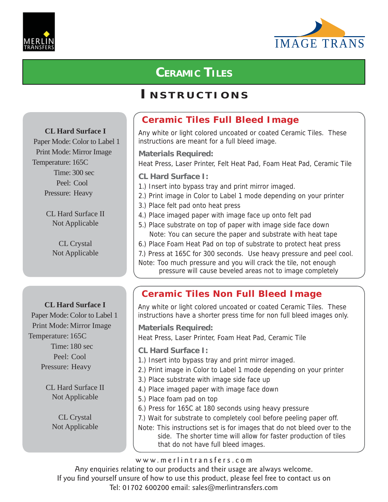



# **CERAMIC TILES**

### **I NSTRUCTIONS**

### **CL Hard Surface I**

Paper Mode: Color to Label 1 Print Mode: Mirror Image Temperature: 165C Time: 300 sec Peel: Cool Pressure: Heavy

> CL Hard Surface II Not Applicable

> > CL Crystal Not Applicable

### **CL Hard Surface I**

Paper Mode: Color to Label 1 Print Mode: Mirror Image Temperature: 165C Time: 180 sec Peel: Cool Pressure: Heavy

> CL Hard Surface II Not Applicable

> > CL Crystal Not Applicable

### **Ceramic Tiles Full Bleed Image**

Any white or light colored uncoated or coated Ceramic Tiles. These instructions are meant for a full bleed image.

**Materials Required:**

Heat Press, Laser Printer, Felt Heat Pad, Foam Heat Pad, Ceramic Tile

**CL Hard Surface I:**

- 1.) Insert into bypass tray and print mirror imaged.
- 2.) Print image in Color to Label 1 mode depending on your printer
- 3.) Place felt pad onto heat press
- 4.) Place imaged paper with image face up onto felt pad
- 5.) Place substrate on top of paper with image side face down Note: You can secure the paper and substrate with heat tape
- 6.) Place Foam Heat Pad on top of substrate to protect heat press
- 7.) Press at 165C for 300 seconds. Use heavy pressure and peel cool.
- Note: Too much pressure and you will crack the tile, not enough pressure will cause beveled areas not to image completely

### **Ceramic Tiles Non Full Bleed Image**

Any white or light colored uncoated or coated Ceramic Tiles. These instructions have a shorter press time for non full bleed images only.

**Materials Required:**

Heat Press, Laser Printer, Foam Heat Pad, Ceramic Tile

- **CL Hard Surface I:**
- 1.) Insert into bypass tray and print mirror imaged.
- 2.) Print image in Color to Label 1 mode depending on your printer
- 3.) Place substrate with image side face up
- 4.) Place imaged paper with image face down
- 5.) Place foam pad on top
- 6.) Press for 165C at 180 seconds using heavy pressure

7.) Wait for substrate to completely cool before peeling paper off.

Note: This instructions set is for images that do not bleed over to the side. The shorter time will allow for faster production of tiles that do not have full bleed images.

www.merlintransfers.com

Any enquiries relating to our products and their usage are always welcome.

If you find yourself unsure of how to use this product, please feel free to contact us on

Tel: 01702 600200 email: sales@merlintransfers.com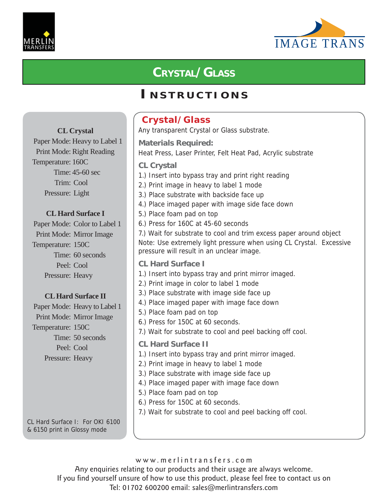



# **CRYSTAL/GLASS**

### **I NSTRUCTIONS**

#### **Crystal/Glass** Any transparent Crystal or Glass substrate. **Materials Required:** Heat Press, Laser Printer, Felt Heat Pad, Acrylic substrate **CL Crystal** 1.) Insert into bypass tray and print right reading 2.) Print image in heavy to label 1 mode 3.) Place substrate with backside face up 4.) Place imaged paper with image side face down 5.) Place foam pad on top 6.) Press for 160C at 45-60 seconds 7.) Wait for substrate to cool and trim excess paper around object Note: Use extremely light pressure when using CL Crystal. Excessive pressure will result in an unclear image. **CL Hard Surface I** 1.) Insert into bypass tray and print mirror imaged. 2.) Print image in color to label 1 mode 3.) Place substrate with image side face up 4.) Place imaged paper with image face down 5.) Place foam pad on top 6.) Press for 150C at 60 seconds. 7.) Wait for substrate to cool and peel backing off cool. **CL Hard Surface II** 1.) Insert into bypass tray and print mirror imaged. 2.) Print image in heavy to label 1 mode 3.) Place substrate with image side face up 4.) Place imaged paper with image face down 5.) Place foam pad on top 6.) Press for 150C at 60 seconds. 7.) Wait for substrate to cool and peel backing off cool. **CL Crystal** Paper Mode: Heavy to Label 1 Print Mode: Right Reading Temperature: 160C Time: 45-60 sec Trim: Cool Pressure: Light **CL Hard Surface I** Paper Mode: Color to Label 1 Print Mode: Mirror Image Temperature: 150C Time: 60 seconds Peel: Cool Pressure: Heavy **CL Hard Surface II** Paper Mode: Heavy to Label 1 Print Mode: Mirror Image Temperature: 150C Time: 50 seconds Peel: Cool Pressure: Heavy

CL Hard Surface I: For OKI 6100 & 6150 print in Glossy mode

www.merlintransfers.com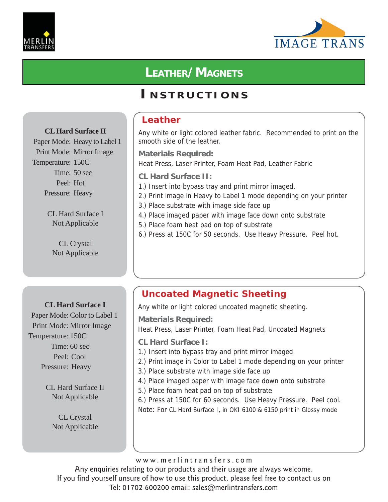



# **LEATHER/MAGNETS**

### **I NSTRUCTIONS**

### **CL Hard Surface II**

Paper Mode: Heavy to Label 1 Print Mode: Mirror Image Temperature: 150C Time: 50 sec Peel: Hot Pressure: Heavy

> CL Hard Surface I Not Applicable

CL Crystal Not Applicable

### **CL Hard Surface I**

Paper Mode: Color to Label 1 Print Mode: Mirror Image Temperature: 150C Time: 60 sec Peel: Cool Pressure: Heavy

> CL Hard Surface II Not Applicable

> > CL Crystal Not Applicable

### **Leather**

Any white or light colored leather fabric. Recommended to print on the smooth side of the leather.

**Materials Required:**

Heat Press, Laser Printer, Foam Heat Pad, Leather Fabric

**CL Hard Surface II:**

- 1.) Insert into bypass tray and print mirror imaged.
- 2.) Print image in Heavy to Label 1 mode depending on your printer
- 3.) Place substrate with image side face up
- 4.) Place imaged paper with image face down onto substrate
- 5.) Place foam heat pad on top of substrate
- 6.) Press at 150C for 50 seconds. Use Heavy Pressure. Peel hot.

### **Uncoated Magnetic Sheeting**

Any white or light colored uncoated magnetic sheeting.

**Materials Required:**

Heat Press, Laser Printer, Foam Heat Pad, Uncoated Magnets

- **CL Hard Surface I:**
- 1.) Insert into bypass tray and print mirror imaged.
- 2.) Print image in Color to Label 1 mode depending on your printer
- 3.) Place substrate with image side face up
- 4.) Place imaged paper with image face down onto substrate
- 5.) Place foam heat pad on top of substrate

6.) Press at 150C for 60 seconds. Use Heavy Pressure. Peel cool. Note: For CL Hard Surface I, in OKI 6100 & 6150 print in Glossy mode

www.merlintransfers.com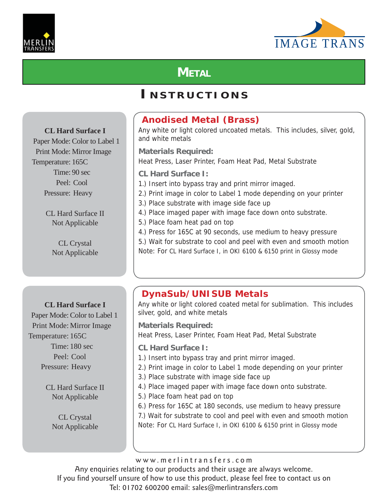



# **METAL**

### **I NSTRUCTIONS**

### **CL Hard Surface I**

Paper Mode: Color to Label 1 Print Mode: Mirror Image Temperature: 165C Time: 90 sec Peel: Cool Pressure: Heavy

> CL Hard Surface II Not Applicable

> > CL Crystal Not Applicable

### **CL Hard Surface I**

Paper Mode: Color to Label 1 Print Mode: Mirror Image Temperature: 165C Time: 180 sec Peel: Cool Pressure: Heavy

> CL Hard Surface II Not Applicable

> > CL Crystal Not Applicable

### **Anodised Metal (Brass)**

Any white or light colored uncoated metals. This includes, silver, gold, and white metals

**Materials Required:** Heat Press, Laser Printer, Foam Heat Pad, Metal Substrate

**CL Hard Surface I:**

- 1.) Insert into bypass tray and print mirror imaged.
- 2.) Print image in color to Label 1 mode depending on your printer
- 3.) Place substrate with image side face up
- 4.) Place imaged paper with image face down onto substrate.
- 5.) Place foam heat pad on top
- 4.) Press for 165C at 90 seconds, use medium to heavy pressure

5.) Wait for substrate to cool and peel with even and smooth motion Note: For CL Hard Surface I, in OKI 6100 & 6150 print in Glossy mode

### **DynaSub/UNISUB Metals**

Any white or light colored coated metal for sublimation. This includes silver, gold, and white metals

**Materials Required:** Heat Press, Laser Printer, Foam Heat Pad, Metal Substrate

**CL Hard Surface I:**

- 1.) Insert into bypass tray and print mirror imaged.
- 2.) Print image in color to Label 1 mode depending on your printer
- 3.) Place substrate with image side face up
- 4.) Place imaged paper with image face down onto substrate.

5.) Place foam heat pad on top

6.) Press for 165C at 180 seconds, use medium to heavy pressure 7.) Wait for substrate to cool and peel with even and smooth motion Note: For CL Hard Surface I, in OKI 6100 & 6150 print in Glossy mode

www.merlintransfers.com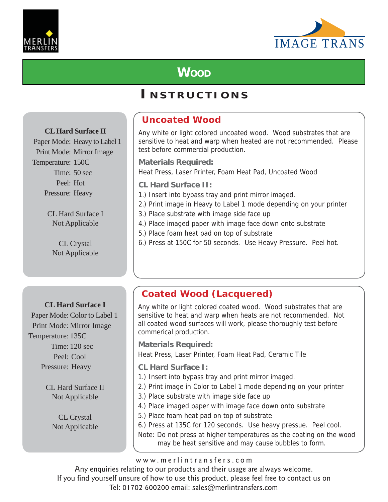



# **WOOD**

### **I NSTRUCTIONS**

### **CL Hard Surface II**

Paper Mode: Heavy to Label 1 Print Mode: Mirror Image Temperature: 150C Time: 50 sec Peel: Hot Pressure: Heavy

> CL Hard Surface I Not Applicable

CL Crystal Not Applicable

### **CL Hard Surface I**

Paper Mode: Color to Label 1 Print Mode: Mirror Image Temperature: 135C Time: 120 sec Peel: Cool Pressure: Heavy

> CL Hard Surface II Not Applicable

> > CL Crystal Not Applicable

### **Uncoated Wood**

Any white or light colored uncoated wood. Wood substrates that are sensitive to heat and warp when heated are not recommended. Please test before commercial production.

**Materials Required:**

Heat Press, Laser Printer, Foam Heat Pad, Uncoated Wood

**CL Hard Surface II:**

- 1.) Insert into bypass tray and print mirror imaged.
- 2.) Print image in Heavy to Label 1 mode depending on your printer
- 3.) Place substrate with image side face up
- 4.) Place imaged paper with image face down onto substrate
- 5.) Place foam heat pad on top of substrate
- 6.) Press at 150C for 50 seconds. Use Heavy Pressure. Peel hot.

### **Coated Wood (Lacquered)**

Any white or light colored coated wood. Wood substrates that are sensitive to heat and warp when heats are not recommended. Not all coated wood surfaces will work, please thoroughly test before commerical production.

**Materials Required:**

Heat Press, Laser Printer, Foam Heat Pad, Ceramic Tile

- **CL Hard Surface I:**
- 1.) Insert into bypass tray and print mirror imaged.
- 2.) Print image in Color to Label 1 mode depending on your printer
- 3.) Place substrate with image side face up
- 4.) Place imaged paper with image face down onto substrate
- 5.) Place foam heat pad on top of substrate

6.) Press at 135C for 120 seconds. Use heavy pressue. Peel cool. Note: Do not press at higher temperatures as the coating on the wood may be heat sensitive and may cause bubbles to form.

www.merlintransfers.com

Any enquiries relating to our products and their usage are always welcome.

If you find yourself unsure of how to use this product, please feel free to contact us on

Tel: 01702 600200 email: sales@merlintransfers.com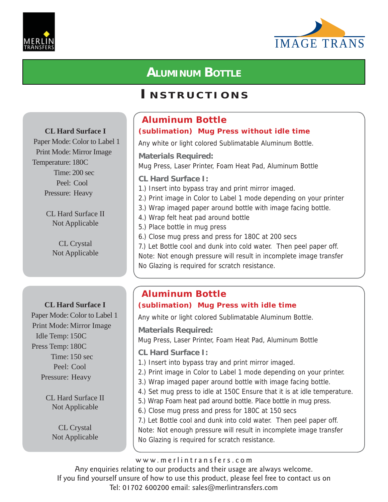



# **ALUMINUM BOTTLE**

### **I NSTRUCTIONS**

### **CL Hard Surface I**

Paper Mode: Color to Label 1 Print Mode: Mirror Image Temperature: 180C Time: 200 sec Peel: Cool Pressure: Heavy

> CL Hard Surface II Not Applicable

> > CL Crystal Not Applicable

### **CL Hard Surface I**

Paper Mode: Color to Label 1 Print Mode: Mirror Image Idle Temp: 150C Press Temp: 180C Time: 150 sec Peel: Cool Pressure: Heavy

> CL Hard Surface II Not Applicable

> > CL Crystal Not Applicable

### **Aluminum Bottle (sublimation) Mug Press without idle time**

Any white or light colored Sublimatable Aluminum Bottle.

**Materials Required:** Mug Press, Laser Printer, Foam Heat Pad, Aluminum Bottle

**CL Hard Surface I:**

- 1.) Insert into bypass tray and print mirror imaged.
- 2.) Print image in Color to Label 1 mode depending on your printer
- 3.) Wrap imaged paper around bottle with image facing bottle.
- 4.) Wrap felt heat pad around bottle
- 5.) Place bottle in mug press
- 6.) Close mug press and press for 180C at 200 secs

7.) Let Bottle cool and dunk into cold water. Then peel paper off. Note: Not enough pressure will result in incomplete image transfer No Glazing is required for scratch resistance.

### **Aluminum Bottle (sublimation) Mug Press with idle time**

Any white or light colored Sublimatable Aluminum Bottle.

**Materials Required:**

Mug Press, Laser Printer, Foam Heat Pad, Aluminum Bottle

- **CL Hard Surface I:**
- 1.) Insert into bypass tray and print mirror imaged.
- 2.) Print image in Color to Label 1 mode depending on your printer.
- 3.) Wrap imaged paper around bottle with image facing bottle.
- 4.) Set mug press to idle at 150C Ensure that it is at idle temperature.
- 5.) Wrap Foam heat pad around bottle. Place bottle in mug press.
- 6.) Close mug press and press for 180C at 150 secs

7.) Let Bottle cool and dunk into cold water. Then peel paper off.

Note: Not enough pressure will result in incomplete image transfer No Glazing is required for scratch resistance.

www.merlintransfers.com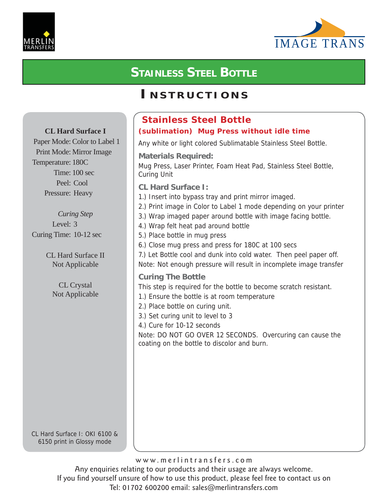



# **STAINLESS STEEL BOTTLE**

### **I NSTRUCTIONS**

#### **Stainless Steel Bottle (sublimation) Mug Press without idle time** Any white or light colored Sublimatable Stainless Steel Bottle. **Materials Required:** Mug Press, Laser Printer, Foam Heat Pad, Stainless Steel Bottle, Curing Unit **CL Hard Surface I:** 1.) Insert into bypass tray and print mirror imaged. 2.) Print image in Color to Label 1 mode depending on your printer 3.) Wrap imaged paper around bottle with image facing bottle. 4.) Wrap felt heat pad around bottle 5.) Place bottle in mug press 6.) Close mug press and press for 180C at 100 secs 7.) Let Bottle cool and dunk into cold water. Then peel paper off. Note: Not enough pressure will result in incomplete image transfer **Curing The Bottle** This step is required for the bottle to become scratch resistant. 1.) Ensure the bottle is at room temperature 2.) Place bottle on curing unit. 3.) Set curing unit to level to 3 4.) Cure for 10-12 seconds Note: DO NOT GO OVER 12 SECONDS. Overcuring can cause the coating on the bottle to discolor and burn. **CL Hard Surface I** Paper Mode: Color to Label 1 Print Mode: Mirror Image Temperature: 180C Time: 100 sec Peel: Cool Pressure: Heavy *Curing Step* Level: 3 Curing Time: 10-12 sec CL Hard Surface II Not Applicable CL Crystal Not Applicable

CL Hard Surface I: OKI 6100 & 6150 print in Glossy mode

www.merlintransfers.com